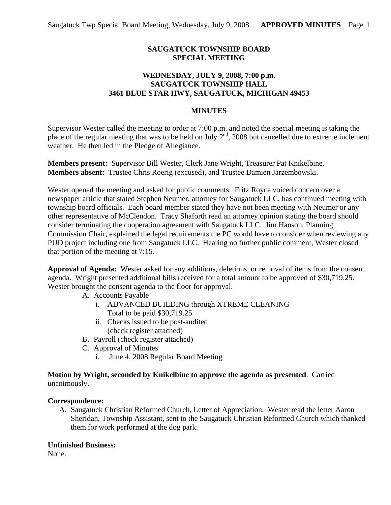# **SAUGATUCK TOWNSHIP BOARD SPECIAL MEETING**

# **WEDNESDAY, JULY 9, 2008, 7:00 p.m. SAUGATUCK TOWNSHIP HALL 3461 BLUE STAR HWY, SAUGATUCK, MICHIGAN 49453**

#### **MINUTES**

Supervisor Wester called the meeting to order at 7:00 p.m. and noted the special meeting is taking the place of the regular meeting that was to be held on July  $2<sup>nd</sup>$ , 2008 but cancelled due to extreme inclement weather. He then led in the Pledge of Allegiance.

**Members present:** Supervisor Bill Wester, Clerk Jane Wright, Treasurer Pat Knikelbine. **Members absent:** Trustee Chris Roerig (excused), and Trustee Damien Jarzembowski.

Wester opened the meeting and asked for public comments. Fritz Royce voiced concern over a newspaper article that stated Stephen Neumer, attorney for Saugatuck LLC, has continued meeting with township board officials. Each board member stated they have not been meeting with Neumer or any other representative of McClendon. Tracy Shaforth read an attorney opinion stating the board should consider terminating the cooperation agreement with Saugatuck LLC. Jim Hanson, Planning Commission Chair, explained the legal requirements the PC would have to consider when reviewing any PUD project including one from Saugatuck LLC. Hearing no further public comment, Wester closed that portion of the meeting at 7:15.

**Approval of Agenda:** Wester asked for any additions, deletions, or removal of items from the consent agenda. Wright presented additional bills received for a total amount to be approved of \$30,719.25. Wester brought the consent agenda to the floor for approval.

- A. Accounts Payable
	- i. ADVANCED BUILDING through XTREME CLEANING Total to be paid \$30,719.25
	- ii. Checks issued to be post-audited (check register attached)
- B. Payroll (check register attached)
- C. Approval of Minutes
	- i. June 4, 2008 Regular Board Meeting

### **Motion by Wright, seconded by Knikelbine to approve the agenda as presented**. Carried unanimously.

### **Correspondence:**

A. Saugatuck Christian Reformed Church, Letter of Appreciation. Wester read the letter Aaron Sheridan, Township Assistant, sent to the Saugatuck Christian Reformed Church which thanked them for work performed at the dog park.

### **Unfinished Business:**

None.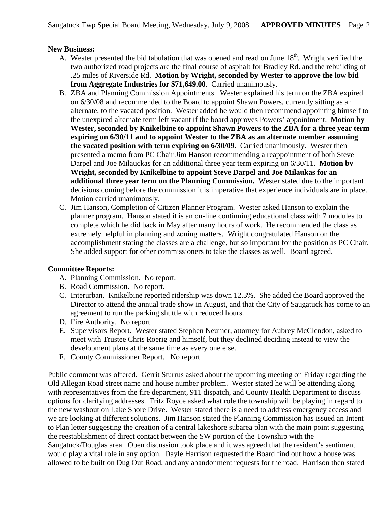# **New Business:**

- A. Wester presented the bid tabulation that was opened and read on June  $18<sup>th</sup>$ . Wright verified the two authorized road projects are the final course of asphalt for Bradley Rd. and the rebuilding of .25 miles of Riverside Rd. **Motion by Wright, seconded by Wester to approve the low bid from Aggregate Industries for \$71,649.00**. Carried unanimously.
- B. ZBA and Planning Commission Appointments. Wester explained his term on the ZBA expired on 6/30/08 and recommended to the Board to appoint Shawn Powers, currently sitting as an alternate, to the vacated position. Wester added he would then recommend appointing himself to the unexpired alternate term left vacant if the board approves Powers' appointment. **Motion by Wester, seconded by Knikelbine to appoint Shawn Powers to the ZBA for a three year term expiring on 6/30/11 and to appoint Wester to the ZBA as an alternate member assuming the vacated position with term expiring on 6/30/09.** Carried unanimously. Wester then presented a memo from PC Chair Jim Hanson recommending a reappointment of both Steve Darpel and Joe Milauckas for an additional three year term expiring on 6/30/11. **Motion by Wright, seconded by Knikelbine to appoint Steve Darpel and Joe Milaukas for an additional three year term on the Planning Commission.** Wester stated due to the important decisions coming before the commission it is imperative that experience individuals are in place. Motion carried unanimously.
- C. Jim Hanson, Completion of Citizen Planner Program. Wester asked Hanson to explain the planner program. Hanson stated it is an on-line continuing educational class with 7 modules to complete which he did back in May after many hours of work. He recommended the class as extremely helpful in planning and zoning matters. Wright congratulated Hanson on the accomplishment stating the classes are a challenge, but so important for the position as PC Chair. She added support for other commissioners to take the classes as well. Board agreed.

### **Committee Reports:**

- A. Planning Commission. No report.
- B. Road Commission. No report.
- C. Interurban. Knikelbine reported ridership was down 12.3%. She added the Board approved the Director to attend the annual trade show in August, and that the City of Saugatuck has come to an agreement to run the parking shuttle with reduced hours.
- D. Fire Authority. No report.
- E. Supervisors Report. Wester stated Stephen Neumer, attorney for Aubrey McClendon, asked to meet with Trustee Chris Roerig and himself, but they declined deciding instead to view the development plans at the same time as every one else.
- F. County Commissioner Report. No report.

Public comment was offered. Gerrit Sturrus asked about the upcoming meeting on Friday regarding the Old Allegan Road street name and house number problem. Wester stated he will be attending along with representatives from the fire department, 911 dispatch, and County Health Department to discuss options for clarifying addresses. Fritz Royce asked what role the township will be playing in regard to the new washout on Lake Shore Drive. Wester stated there is a need to address emergency access and we are looking at different solutions. Jim Hanson stated the Planning Commission has issued an Intent to Plan letter suggesting the creation of a central lakeshore subarea plan with the main point suggesting the reestablishment of direct contact between the SW portion of the Township with the Saugatuck/Douglas area. Open discussion took place and it was agreed that the resident's sentiment would play a vital role in any option. Dayle Harrison requested the Board find out how a house was allowed to be built on Dug Out Road, and any abandonment requests for the road. Harrison then stated